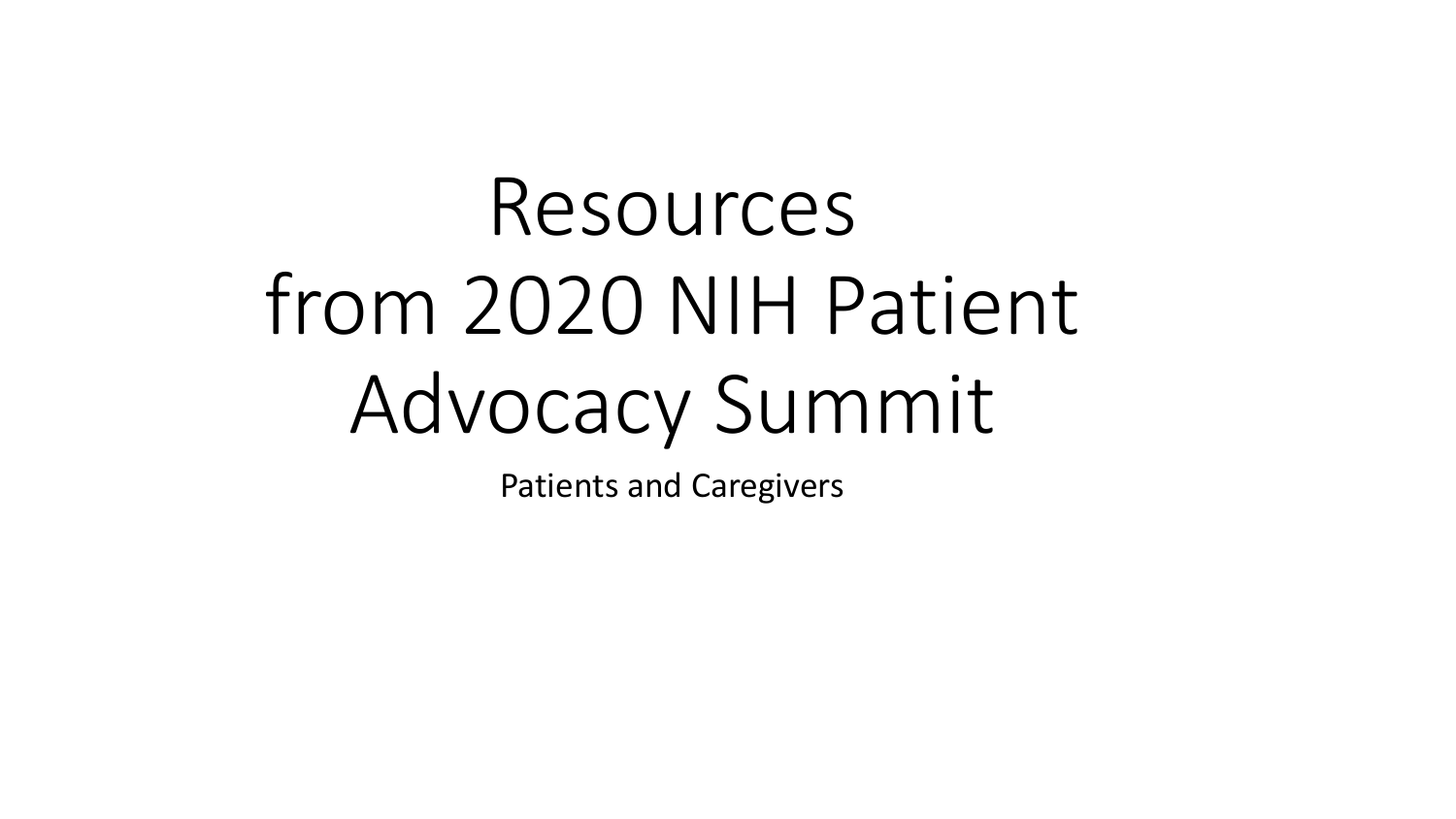# Resources from 2020 NIH Patient Advocacy Summit

Patients and Caregivers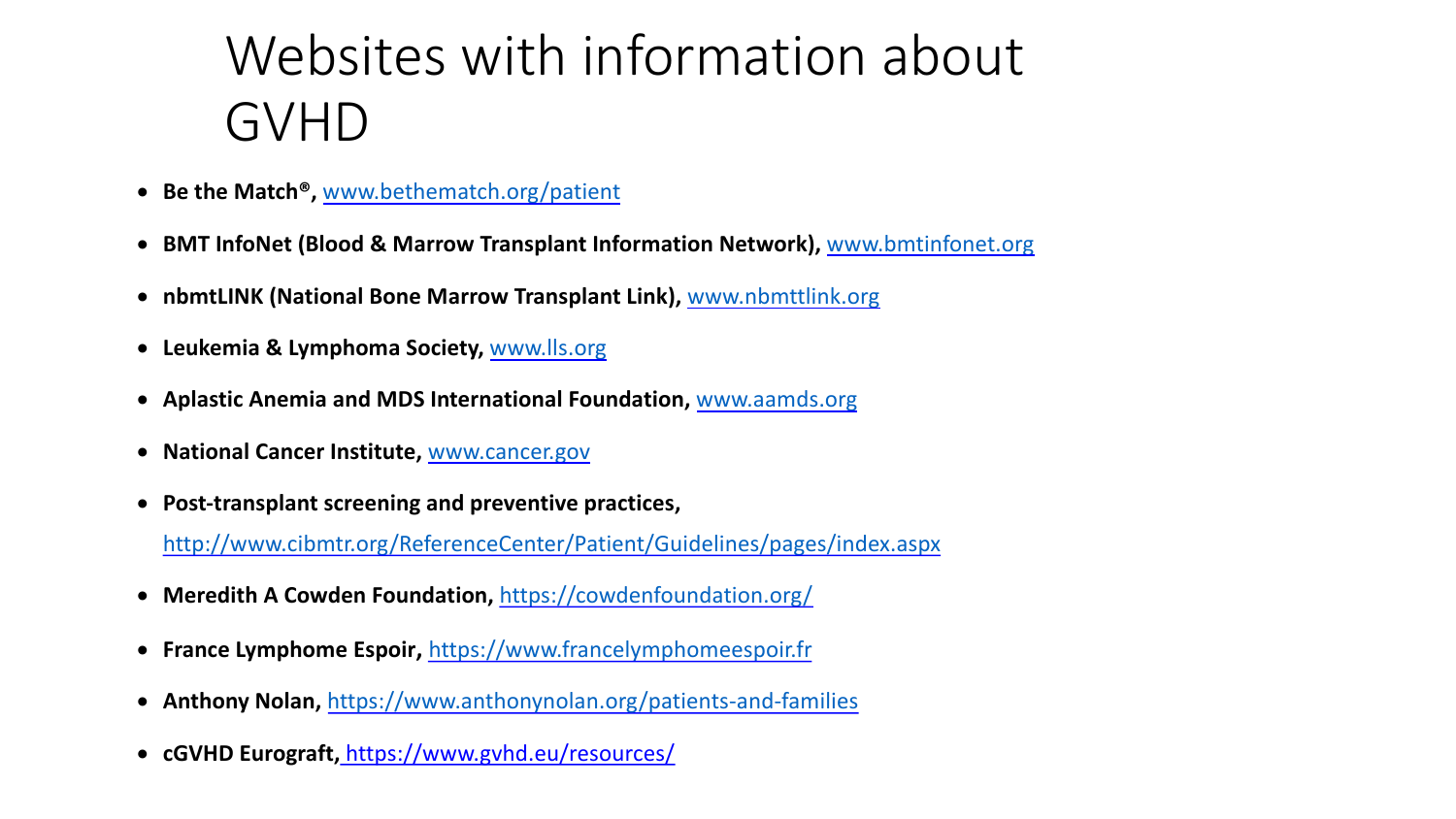### Website[s with i](http://www.cancer.gov/)nfor[mation](http://www.aamds.org/) about [GVHD](http://www.cibmtr.org/ReferenceCenter/Patient/Guidelines/pages/index.aspx)

- **Be the Match®,** www.bethematc[h.org/patient](https://cowdenfoundation.org/)
- **BMT InfoNet (Blood & Marrow Transplant Information Network), www.bmtings.org/**
- **nbmtLINK (Nati[onal Bone Marrow Transplant Link\),](https://www.anthonynolan.org/patients-and-families)** www.nbmttlink.org
- **Leukemia & Lymphoma Society,** www.lls.org
- **Aplastic Anemia and MDS International Foundation,** www.aamds.org
- **National Cancer Institute,** www.cancer.gov
- **Post-transplant screening and preventive practices,**  http://www.cibmtr.org/ReferenceCenter/Patient/Guidelines/pages/index.asp
- **Meredith A Cowden Foundation,** https://cowdenfoundation.org/
- **France Lymphome Espoir,** https://www.francelymphomeespoir.fr
- **Anthony Nolan,** https://www.anthonynolan.org/patients-and-families
- **cGVHD Eurograft,** https://www.gvhd.eu/resources/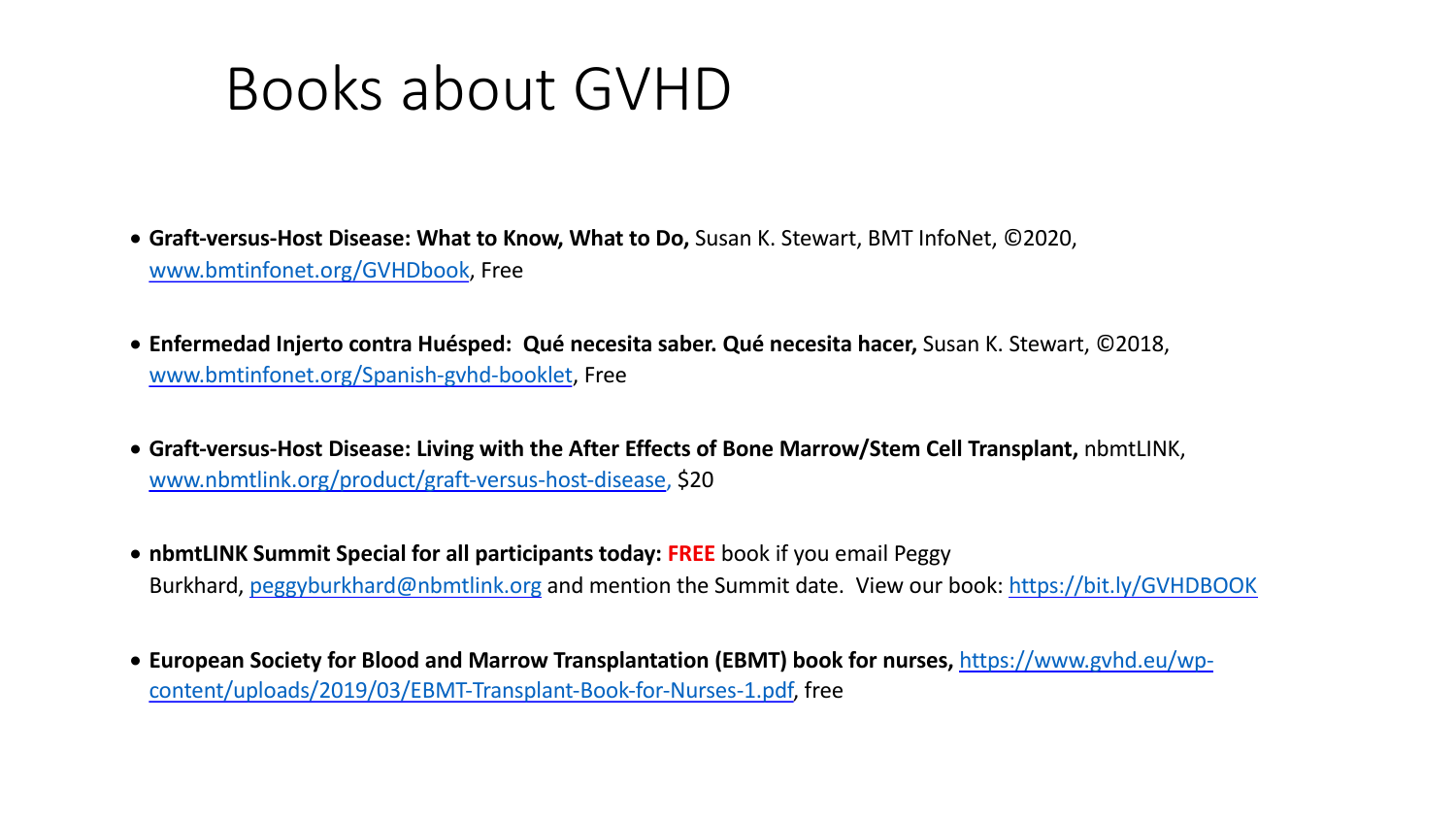## [Books about GVH](http://www.nbmtlink.org/product/graft-versus-host-disease)D

- Graft-versus-Host Disease: What to Know, What to Do, Susan K. Stewart, BMT In [www.bmtinfonet.org/GVHDbook, Free](https://www.gvhd.eu/wp-content/uploads/2019/03/EBMT-Transplant-Book-for-Nurses-1.pdf)
- Enfermedad Injerto contra Huésped: Qué necesita saber. Qué necesita hacer, 92018, entrante Cué www.bmtinfonet.org/Spanish-gvhd-booklet, Free
- Graft-versus-Host Disease: Living with the After Effects of Bone Marrow/Stem www.nbmtlink.org/product/graft-versus-host-disease, \$20
- **nbmtLINK Summit Special for all participants today: FREE** book if you email Peggy Burkhard, peggyburkhard@nbmtlink.org and mention the Summit date. View our
- European Society for Blood and Marrow Transplantation (EBMT) book for nurs content/uploads/2019/03/EBMT-Transplant-Book-for-Nurses-1.pdf, free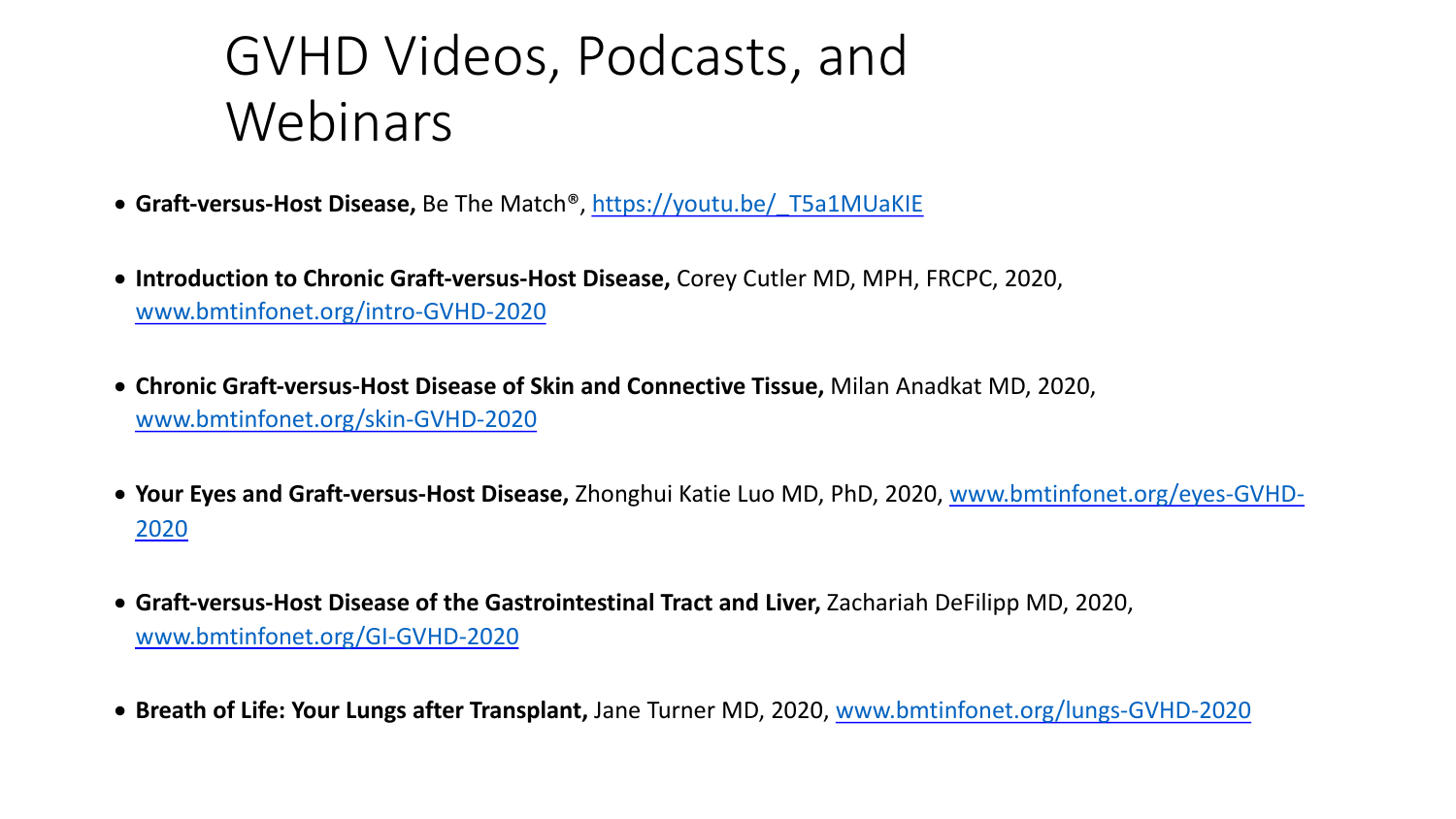- **Graft-versus-Host Disease,** Be The Match®, https://youtu.be/\_T5a1MUaKIE
- [Introduction to Chronic Graft-versus](http://www.bmtinfonet.org/GI-GVHD-2020)-Host Disease, Corey Cutler MD, MPH, www.bmtinfonet.org/intro-GVHD-2020
- Chronic Graft-versus-Host Disease of Skin and Connective Tissue, Milan Ana www.bmtinfonet.org/skin-GVHD-2020
- Your Eyes and Graft-versus-Host Disease, Zhonghui Katie Luo MD, PhD, 2020 2020
- Graft-versus-Host Disease of the Gastrointestinal Tract and Liver, Zachariah www.bmtinfonet.org/GI-GVHD-2020
- Breath of Life: Your Lungs after Transplant, Jane Turner MD, 2020, www.bm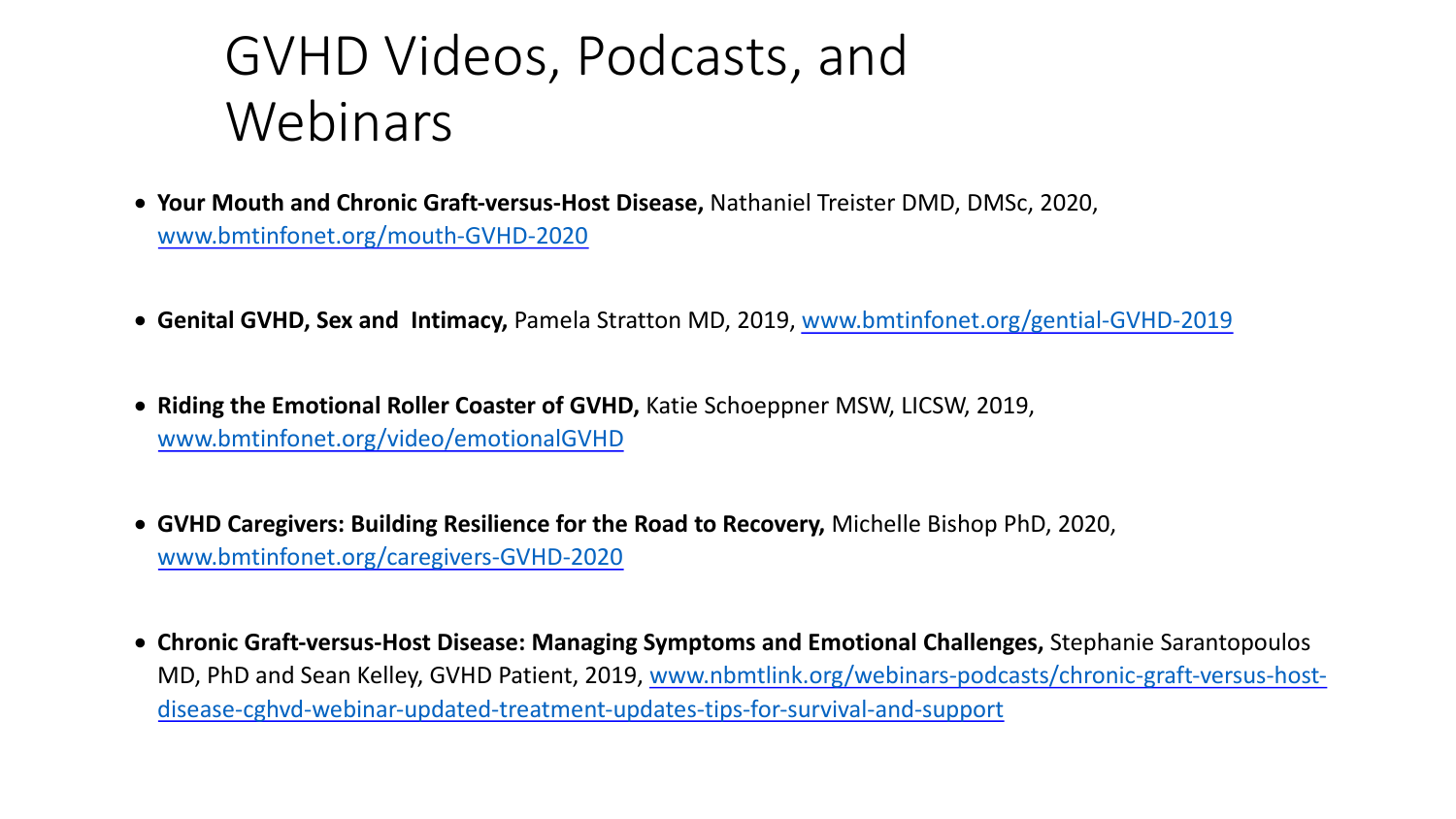- Your Mouth and Chronic Graft-versus-Host Disease, Nathaniel Treister DN www.bmtinfonet.org/mouth-GVHD-2020
- Genital GVHD, Sex and Intimacy, Pamela Stratton MD, 2019, www.bmtinformet.org
- Riding the Emotional Roller Coaster of GVHD, Katie Schoeppner MSW, LIC www.bmtinfonet.org/video/emotionalGVHD
- GVHD Caregivers: Building Resilience for the Road to Recovery, Michelle www.bmtinfonet.org/caregivers-GVHD-2020
- Chronic Graft-versus-Host Disease: Managing Symptoms and Emotional ( MD, PhD and Sean Kelley, GVHD Patient, 2019, www.nbmtlink.org/webinarydisease-cghvd-webinar-updated-treatment-updates-tips-for-survival-and-s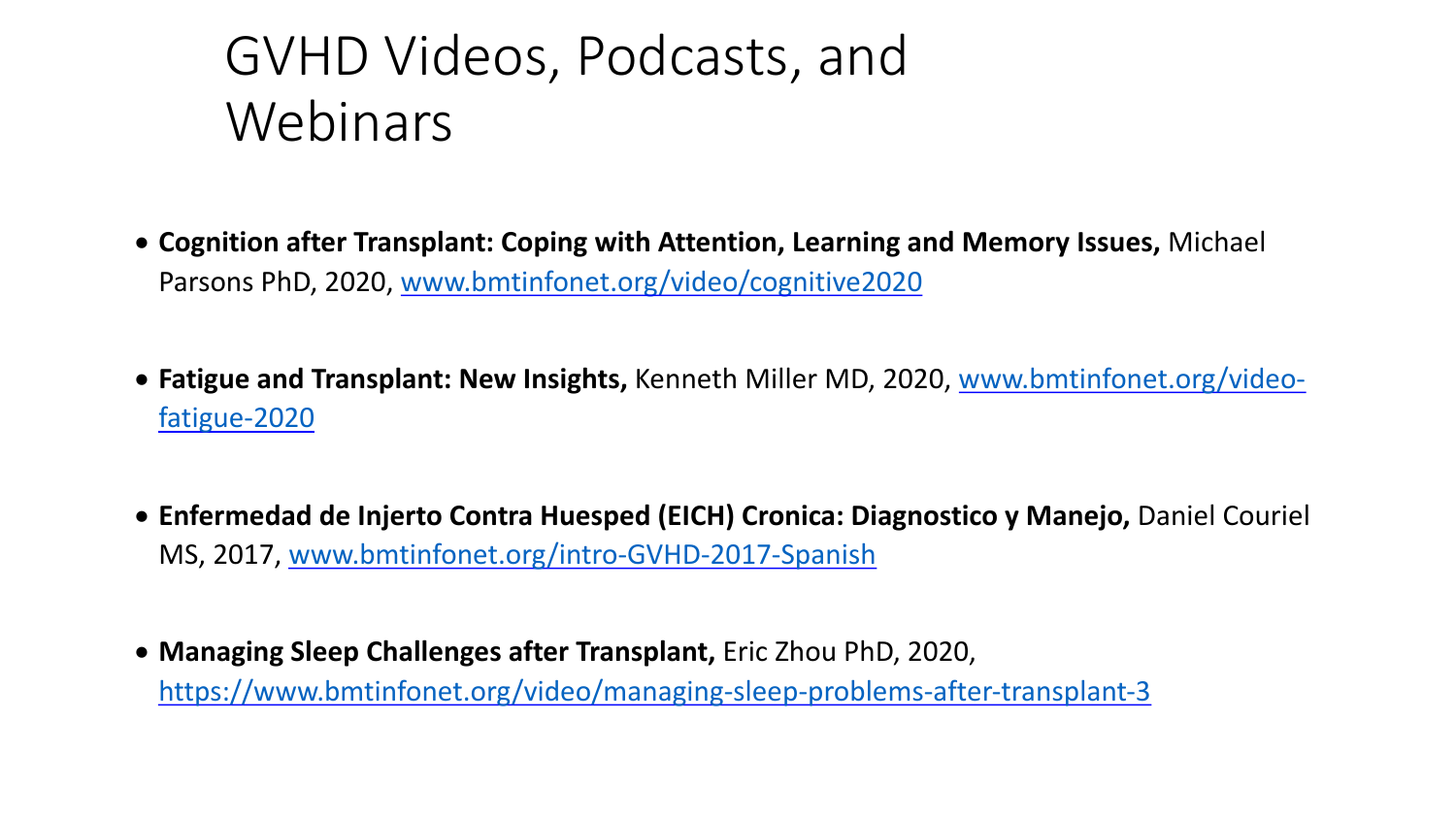- **Cognition after Transplant: Coping with Attention, Learning and Memory Islands** [Parsons PhD, 2020, www.bmtinfonet.org/video/cognitive2020](https://www.bmtinfonet.org/video/managing-sleep-problems-after-transplant-3)
- Fatigue and Transplant: New Insights, Kenneth Miller MD, 202 fatigue-2020
- **Enfermedad de Injerto Contra Huesped (EICH) Cronica: Diagno** MS, 2017, www.bmtinfonet.org/intro-GVHD-2017-Spanish
- **Managing Sleep Challenges after Transplant,** Eric Zhou PhD, 2020, https://www.bmtinfonet.org/video/managing-sleep-problems-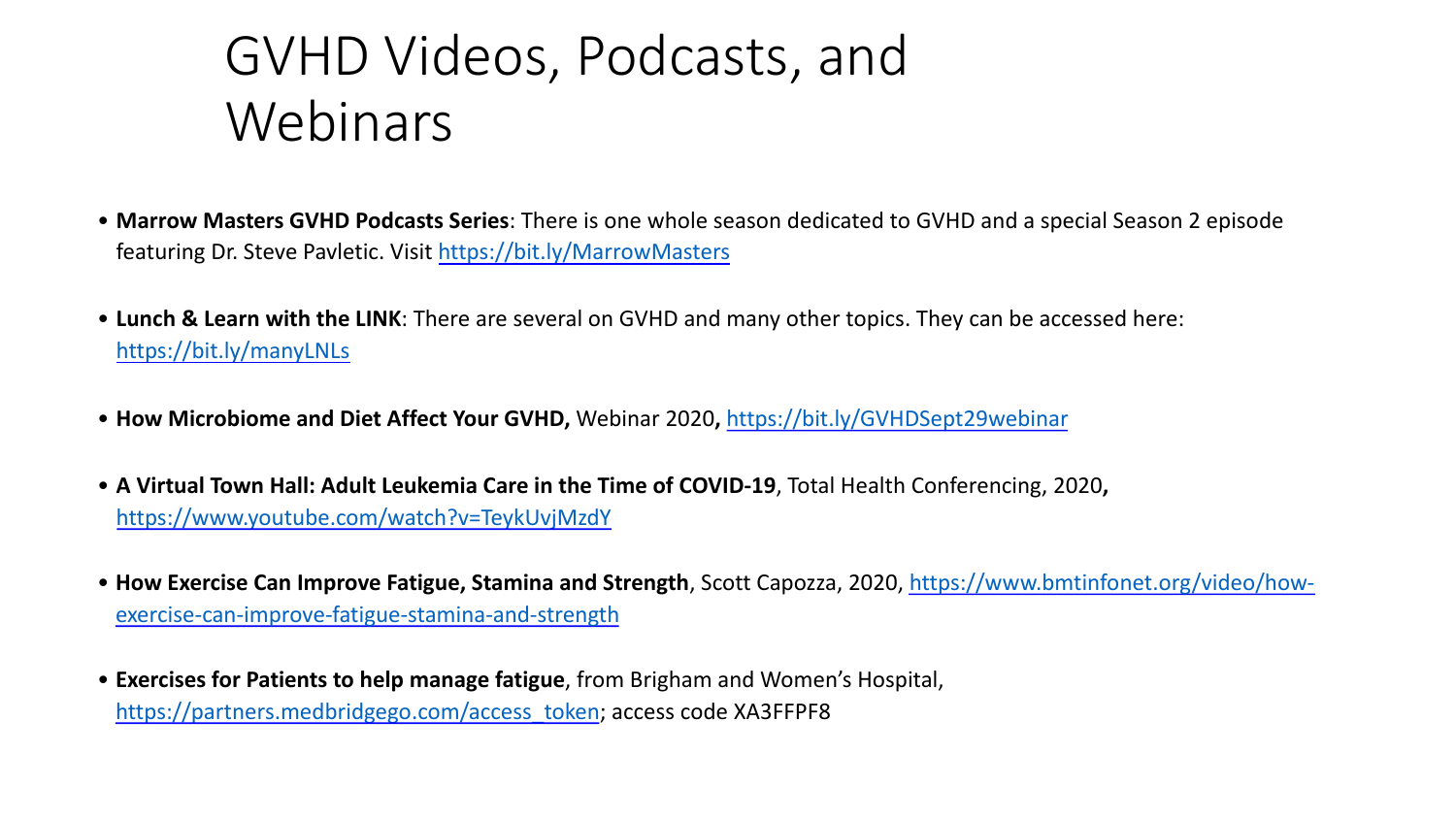- Marrow Masters GVHD Podcasts Series: There is one whole season dedicated to G featuring Dr. Steve Pavletic. Visit https://bit.ly/MarrowMasters
- [Lunch & Learn with the LINK](https://partners.medbridgego.com/access_token): There are several on GVHD and many other topics. T https://bit.ly/manyLNLs
- How Microbiome and Diet Affect Your GVHD, Webinar 2020, https://bit.ly/GVHDS
- A Virtual Town Hall: Adult Leukemia Care in the Time of COVID-19, Total Health Conferencing, 2020 https://www.youtube.com/watch?v=TeykUvjMzdY
- How Exercise Can Improve Fatigue, Stamina and Strength, Scott Capozza, 2020, ht exercise-can-improve-fatigue-stamina-and-strength
- **Exercises for Patients to help manage fatigue**, from Brigham and Women's Hospital, https://partners.medbridgego.com/access\_token; access code XA3FFPF8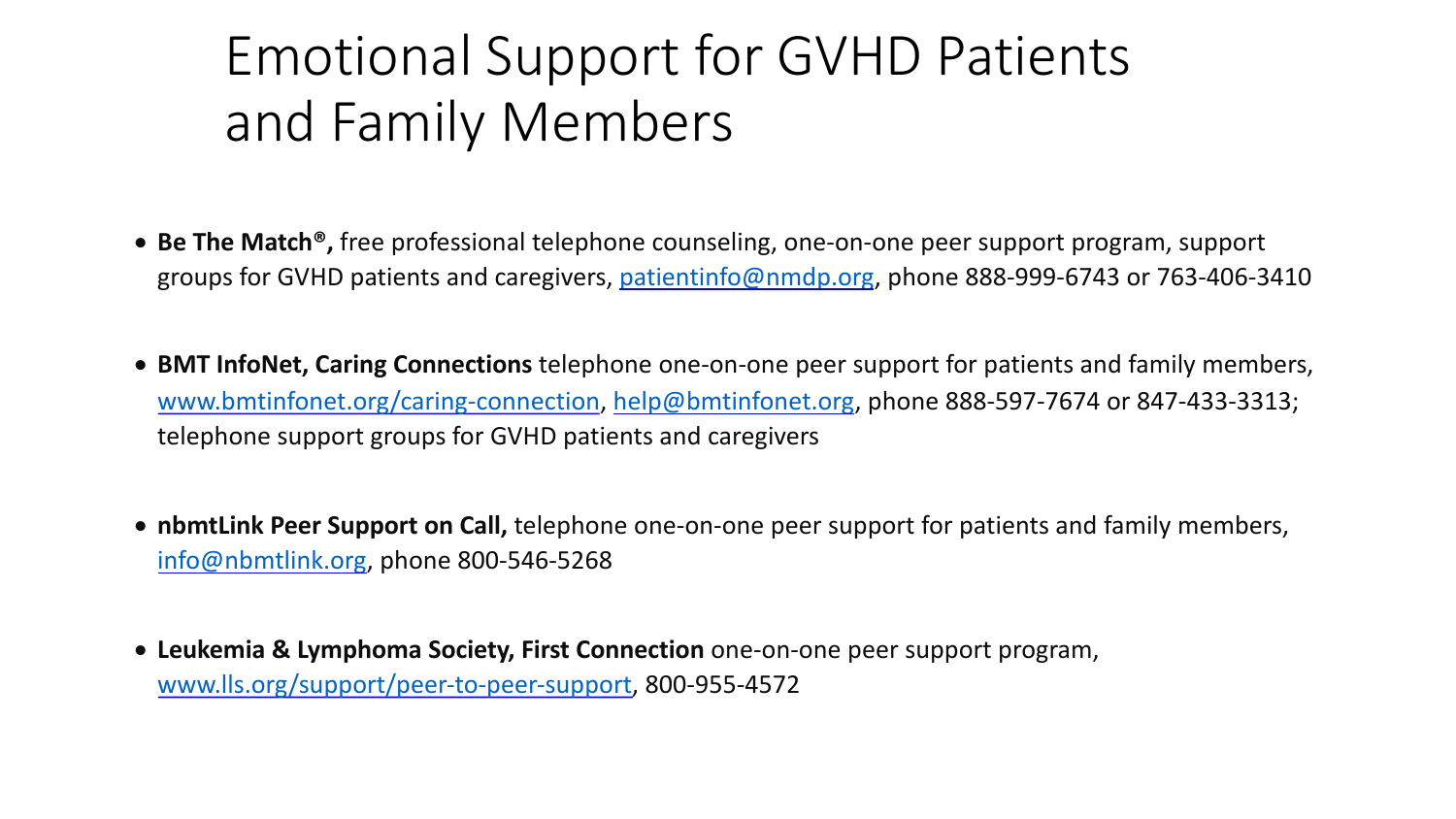### [Emotional Supp](http://www.bmtinfonet.org/caring-connection)[ort for GVH](mailto:help@bmtinfonet.org)D and Family Members

- **Be The Match<sup>®</sup>,** free professional telephone counseling, one-on-one p [groups for GVHD patients and caregivers, p](http://www.lls.org/support/peer-to-peer-support)atientinfo@nmdp.org, pho
- **BMT InfoNet, Caring Connections** telephone one-on-one peer suppor www.bmtinfonet.org/caring-connection, help@bmtinfonet.org, phone telephone support groups for GVHD patients and caregivers
- nbmtLink Peer Support on Call, telephone one-on-one peer support f info@nbmtlink.org, phone 800-546-5268
- **Leukemia & Lymphoma Society, First Connection** one-on-one peer supported www.lls.org/support/peer-to-peer-support, 800-955-4572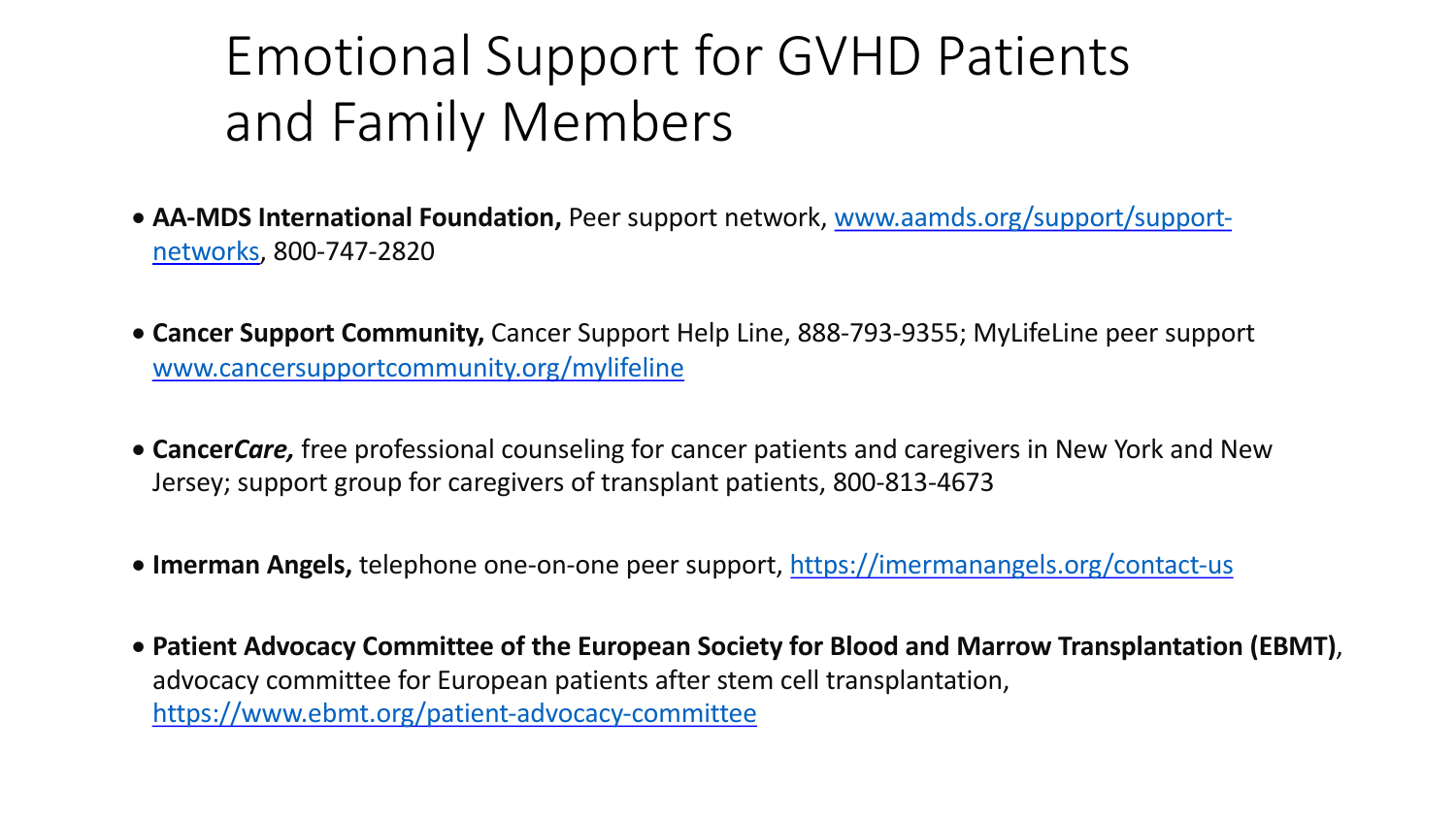### Emotional Support for GVHD and Family Members

- **AA-MDS International Foundation, Peer support network, www.aa** networks, 800-747-2820
- [Cancer Support Community,](https://www.ebmt.org/patient-advocacy-committee) Cancer Support Help Line, 888-793-93 www.cancersupportcommunity.org/mylifeline
- **Cancer***Care*, free professional counseling for cancer patients and ca Jersey; support group for caregivers of transplant patients, 800-813
- **Imerman Angels,** telephone one-on-one peer support, https://imer
- Patient Advocacy Committee of the European Society for Blood ar advocacy committee for European patients after stem cell transplar https://www.ebmt.org/patient-advocacy-committee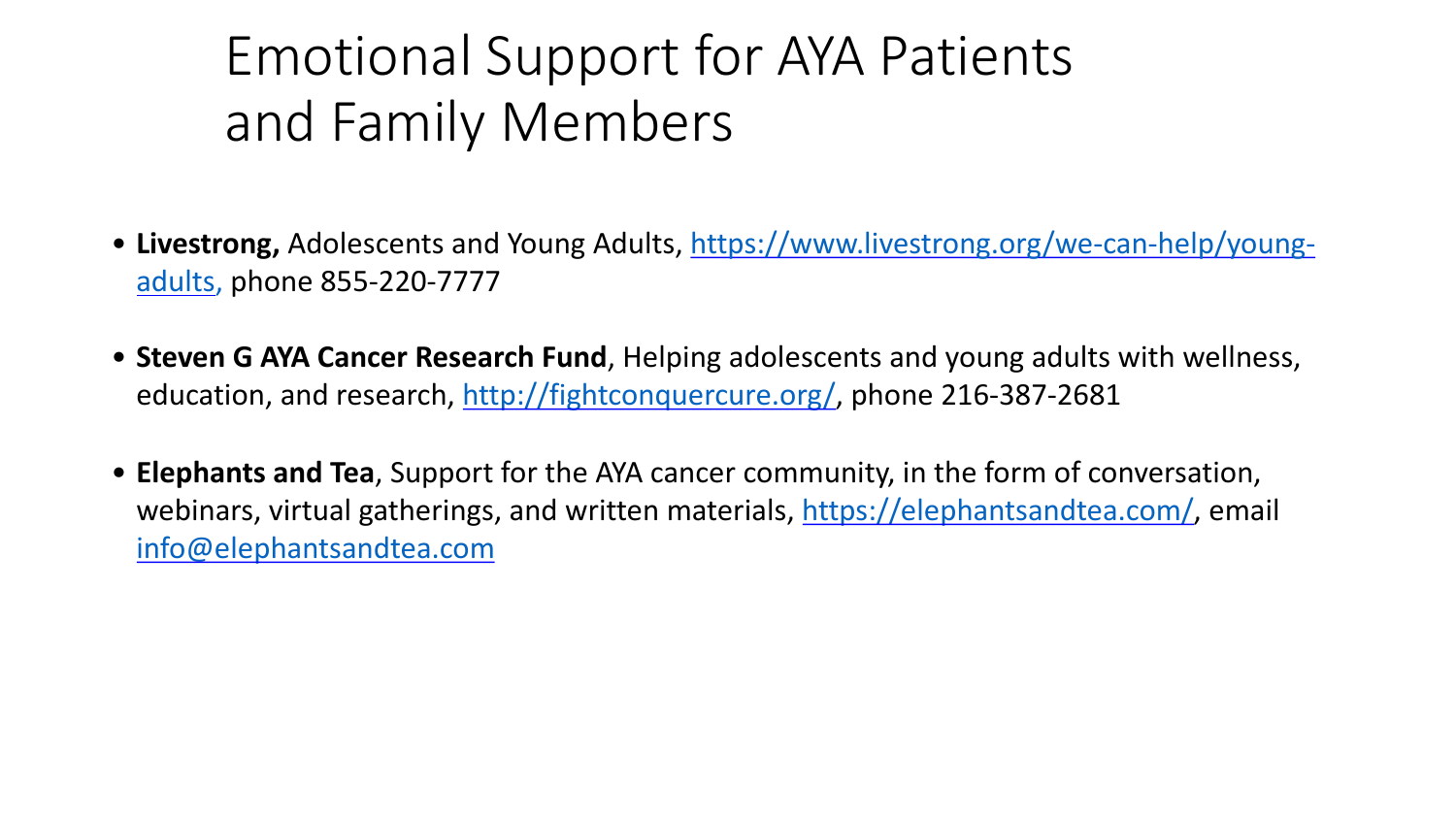#### Emotiona[l Support for AYA](http://fightconquercure.org/) Pa and Family Members

- Livestrong, Adolescents and Young Adults, https://www.livest adults, phone 855-220-7777
- **Steven G AYA Cancer Research Fund**, Helping adolescents and education, and research, http://fightconquercure.org/, phone
- **Elephants and Tea**, Support for the AYA cancer community, in webinars, virtual gatherings, and written materials, https://ele info@elephantsandtea.com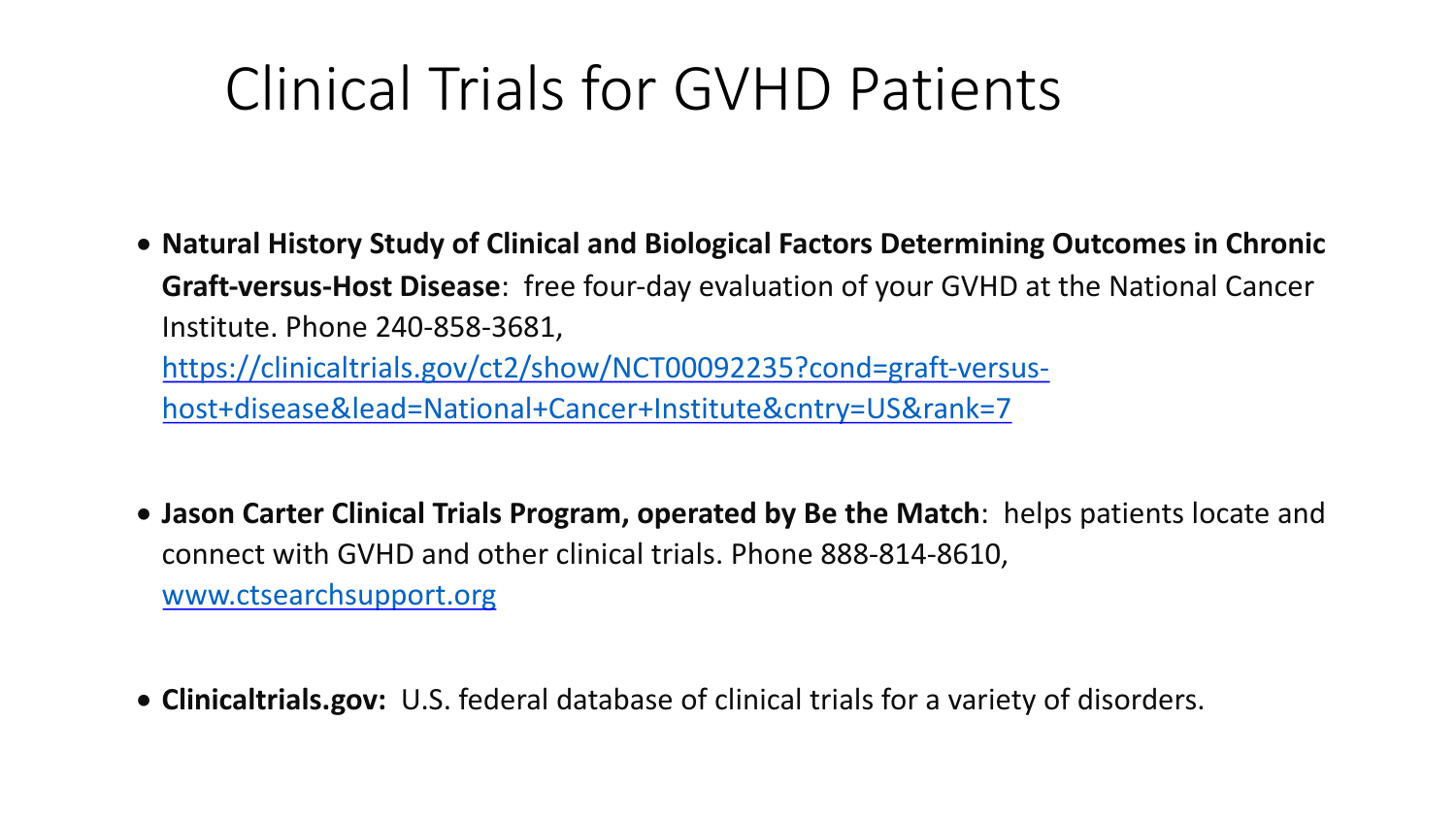## Clinical Trials for GVHD Pat

- [Natural History Study of C](http://www.ctsearchsupport.org/)linical and Biological Factors Det **Graft-versus-Host Disease**: free four-day evaluation of your Institute. Phone 240-858-3681, https://clinicaltrials.gov/ct2/show/NCT00092235?cond=gra host+disease&lead=National+Cancer+Institute&cntry=US&r
- Jason Carter Clinical Trials Program, operated by Be the Match connect with GVHD and other clinical trials. Phone 888-814 www.ctsearchsupport.org
- Clinicaltrials.gov: U.S. federal database of clinical trials for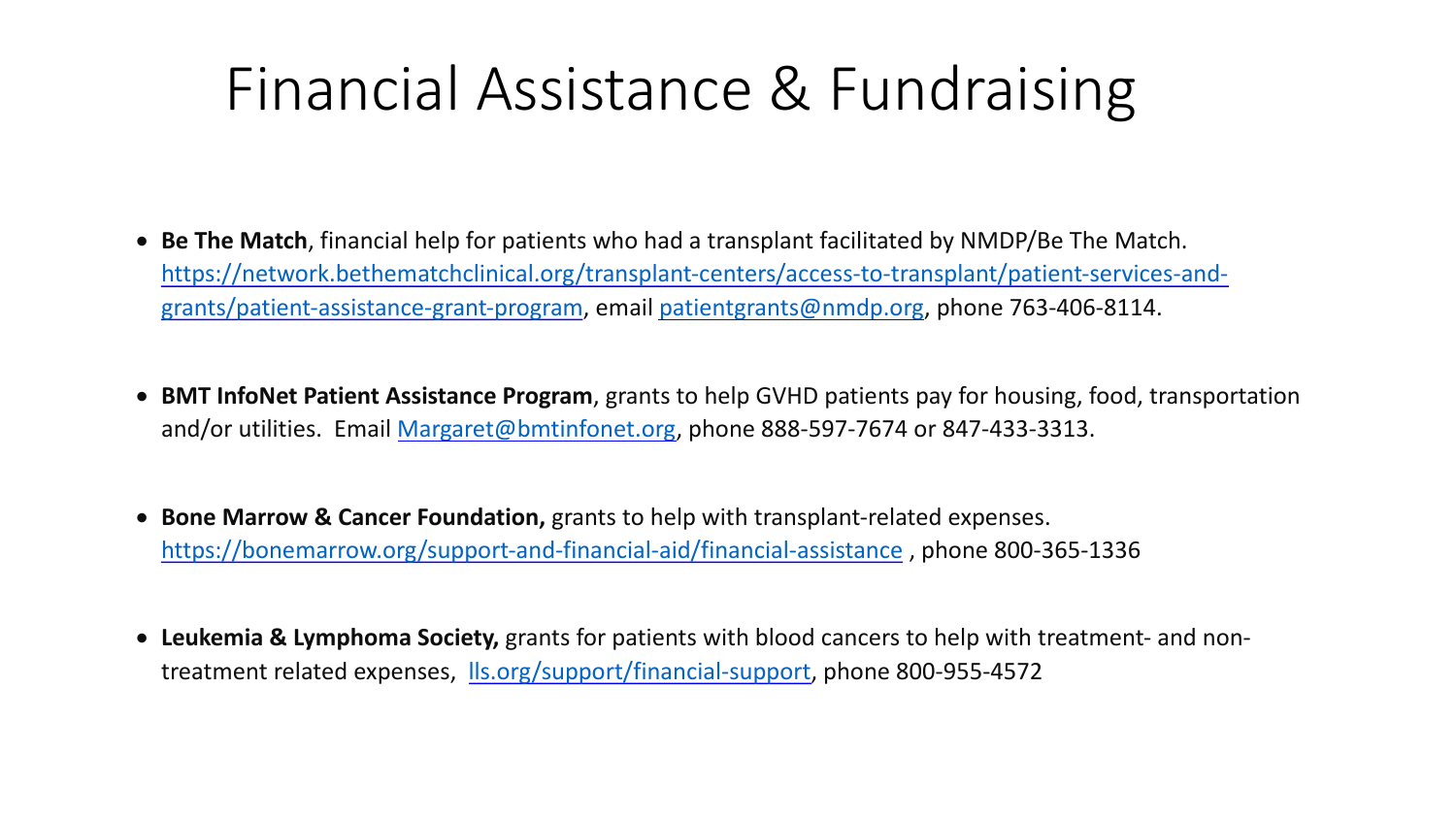## Finan[cial Assistan](mailto:Margaret@bmtinfonet.org)ce & Fun

- **Be The Match**, financial help for patients who had a transplant facilitated https://network.bethematch[clinical.org/transplant-centers/acc](https://www.lls.org/support/financial-support)ess-to-tran grants/patient-assistance-grant-program, email patientgrants@nmdp.org
- **BMT InfoNet Patient Assistance Program**, grants to help GVHD patients patients and/or utilities. Email Margaret@bmtinfonet.org, phone 888-597-7674 o
- **Bone Marrow & Cancer Foundation,** grants to help with transplant-relate https://bonemarrow.org/support-and-financial-aid/financial-assistance, photos:
- Leukemia & Lymphoma Society, grants for patients with blood cancers to treatment related expenses, *lls.org/support/financial-support*, phone 800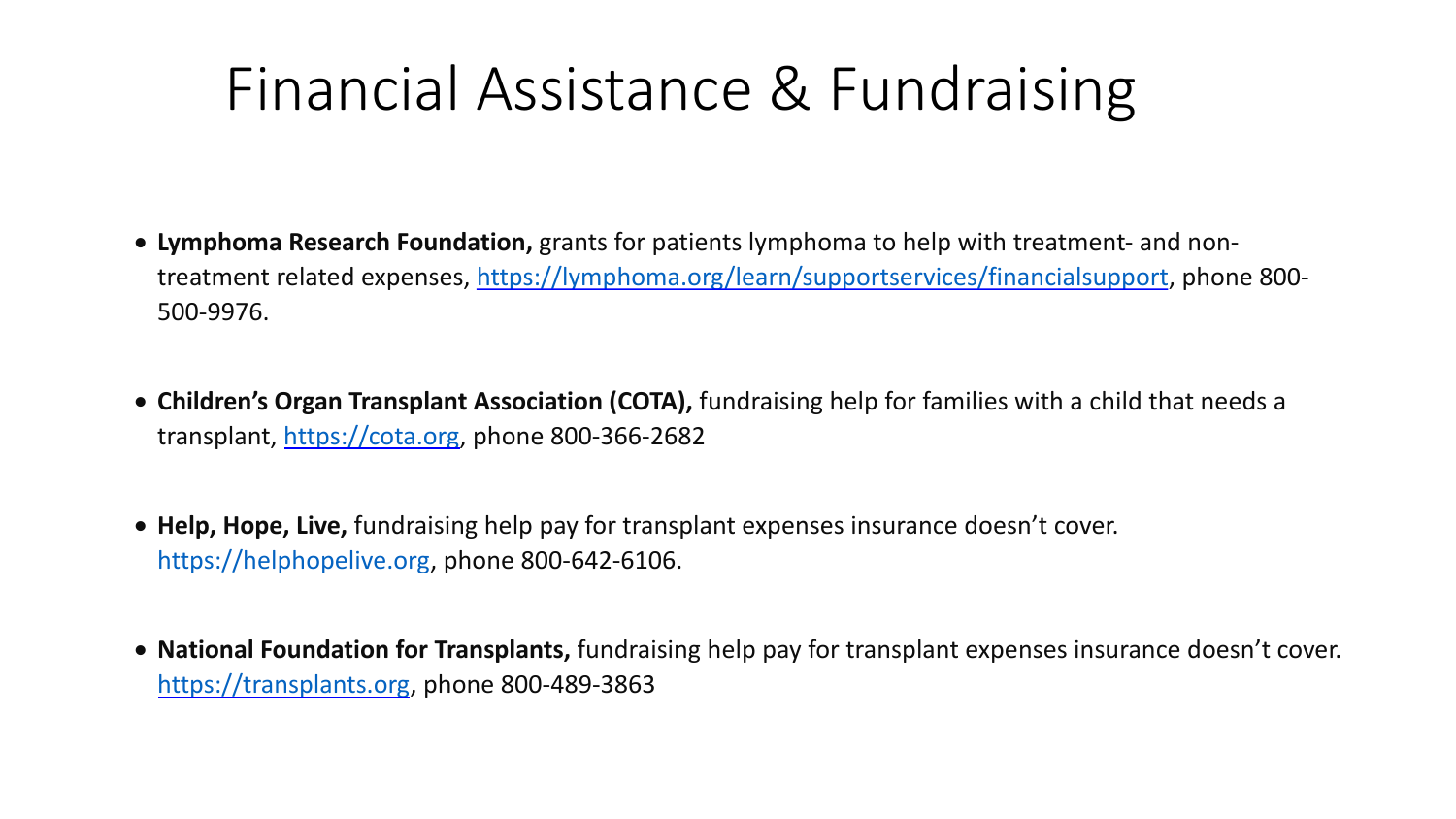## Fi[nancial](https://cota.org/) Assistance & Fun

- Lymphoma Research Foundation, grants for patients lymphoma to he treatment related expenses, https://lymphoma.org/learn/supportserv [500-9976.](https://transplants.org/)
- Children's Organ Transplant Association (COTA), fundraising help for families with a child teamilies with a child that needs a child that needs a child that needs a child that needs a child that needs a child for that ne transplant, https://cota.org, phone 800-366-2682
- Help, Hope, Live, fundraising help pay for transplant expenses insurar https://helphopelive.org, phone 800-642-6106.
- **National Foundation for Transplants,** fundraising help pay for transplant https://transplants.org, phone 800-489-3863